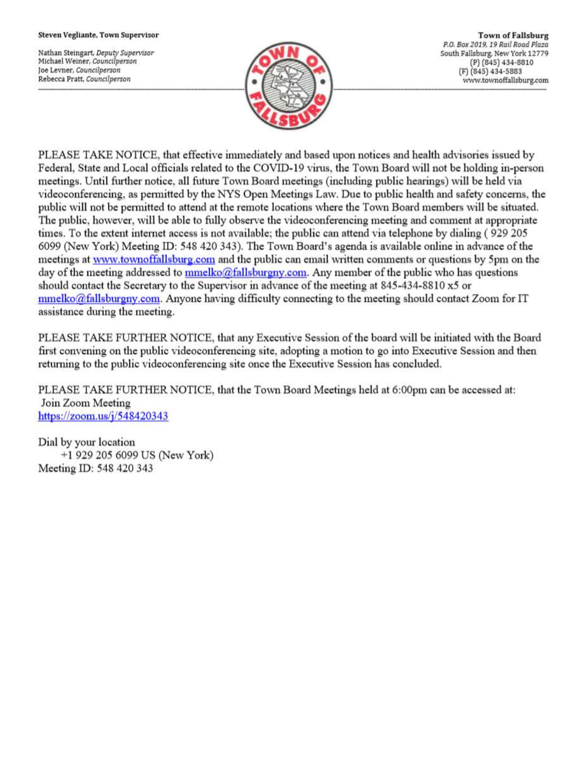#### Steven Vegliante, Town Supervisor

Nathan Steingart, Deputy Supervisor Michael Weiner, Councilperson Joe Levner, Councilperson Rebecca Pratt, Councilperson



**Town of Fallsburg** P.O. Box 2019, 19 Rail Road Plaza South Fallsburg, New York 12779 (P) (845) 434-8810 (F) (845) 434-5883 www.townoffallsburg.com

PLEASE TAKE NOTICE, that effective immediately and based upon notices and health advisories issued by Federal, State and Local officials related to the COVID-19 virus, the Town Board will not be holding in-person meetings. Until further notice, all future Town Board meetings (including public hearings) will be held via videoconferencing, as permitted by the NYS Open Meetings Law. Due to public health and safety concerns, the public will not be permitted to attend at the remote locations where the Town Board members will be situated. The public, however, will be able to fully observe the videoconferencing meeting and comment at appropriate times. To the extent internet access is not available; the public can attend via telephone by dialing (929 205 6099 (New York) Meeting ID: 548 420 343). The Town Board's agenda is available online in advance of the meetings at www.townoffallsburg.com and the public can email written comments or questions by 5pm on the day of the meeting addressed to mmelko@fallsburgny.com. Any member of the public who has questions should contact the Secretary to the Supervisor in advance of the meeting at 845-434-8810 x5 or  $mmelko@fallsburgny.com$ . Anyone having difficulty connecting to the meeting should contact Zoom for IT assistance during the meeting.

PLEASE TAKE FURTHER NOTICE, that any Executive Session of the board will be initiated with the Board first convening on the public videoconferencing site, adopting a motion to go into Executive Session and then returning to the public videoconferencing site once the Executive Session has concluded.

PLEASE TAKE FURTHER NOTICE, that the Town Board Meetings held at 6:00pm can be accessed at: Join Zoom Meeting https://zoom.us/ $j/548420343$ 

Dial by your location +1 929 205 6099 US (New York) Meeting ID: 548 420 343